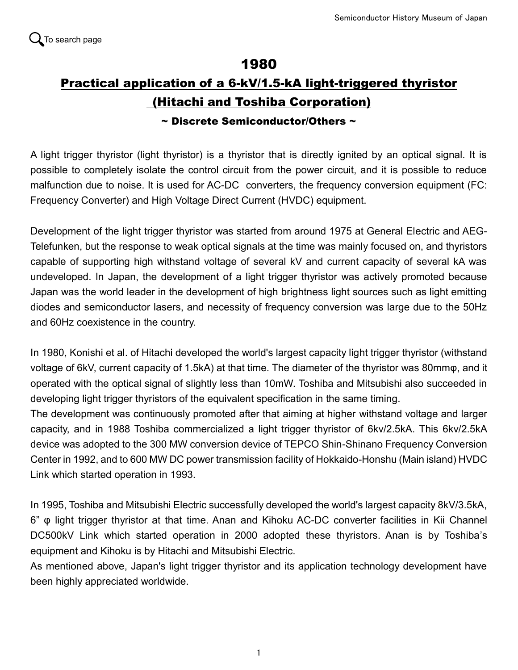## 1980

## Practical application of a 6-kV/1.5-kA light-triggered thyristor (Hitachi and Toshiba Corporation)

## $\sim$  Discrete Semiconductor/Others  $\sim$

A light trigger thyristor (light thyristor) is a thyristor that is directly ignited by an optical signal. It is possible to completely isolate the control circuit from the power circuit, and it is possible to reduce malfunction due to noise. It is used for AC-DC converters, the frequency conversion equipment (FC: Frequency Converter) and High Voltage Direct Current (HVDC) equipment.

Development of the light trigger thyristor was started from around 1975 at General Electric and AEG-Telefunken, but the response to weak optical signals at the time was mainly focused on, and thyristors capable of supporting high withstand voltage of several kV and current capacity of several kA was undeveloped. In Japan, the development of a light trigger thyristor was actively promoted because Japan was the world leader in the development of high brightness light sources such as light emitting diodes and semiconductor lasers, and necessity of frequency conversion was large due to the 50Hz and 60Hz coexistence in the country.

In 1980, Konishi et al. of Hitachi developed the world's largest capacity light trigger thyristor (withstand voltage of 6kV, current capacity of 1.5kA) at that time. The diameter of the thyristor was 80mmφ, and it operated with the optical signal of slightly less than 10mW. Toshiba and Mitsubishi also succeeded in developing light trigger thyristors of the equivalent specification in the same timing.

The development was continuously promoted after that aiming at higher withstand voltage and larger capacity, and in 1988 Toshiba commercialized a light trigger thyristor of 6kv/2.5kA. This 6kv/2.5kA device was adopted to the 300 MW conversion device of TEPCO Shin-Shinano Frequency Conversion Center in 1992, and to 600 MW DC power transmission facility of Hokkaido-Honshu (Main island) HVDC Link which started operation in 1993.

In 1995, Toshiba and Mitsubishi Electric successfully developed the world's largest capacity 8kV/3.5kA, 6" φ light trigger thyristor at that time. Anan and Kihoku AC-DC converter facilities in Kii Channel DC500kV Link which started operation in 2000 adopted these thyristors. Anan is by Toshiba's equipment and Kihoku is by Hitachi and Mitsubishi Electric.

As mentioned above, Japan's light trigger thyristor and its application technology development have been highly appreciated worldwide.